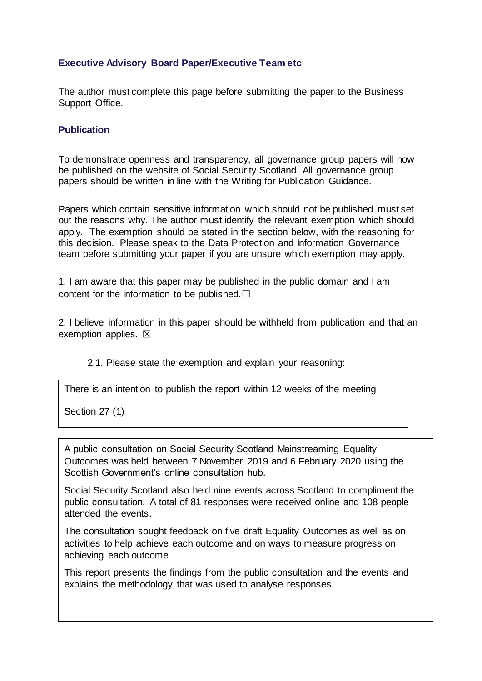## **Executive Advisory Board Paper/Executive Team etc**

The author must complete this page before submitting the paper to the Business Support Office.

## **Publication**

To demonstrate openness and transparency, all governance group papers will now be published on the website of Social Security Scotland. All governance group papers should be written in line with the Writing for Publication Guidance.

Papers which contain sensitive information which should not be published must set out the reasons why. The author must identify the relevant exemption which should apply. The exemption should be stated in the section below, with the reasoning for this decision. Please speak to the Data Protection and Information Governance team before submitting your paper if you are unsure which exemption may apply.

1. I am aware that this paper may be published in the public domain and I am content for the information to be published. $□$ 

2. I believe information in this paper should be withheld from publication and that an exemption applies.  $\boxtimes$ 

2.1. Please state the exemption and explain your reasoning:

There is an intention to publish the report within 12 weeks of the meeting

Section 27 (1)

A public consultation on Social Security Scotland Mainstreaming Equality Outcomes was held between 7 November 2019 and 6 February 2020 using the Scottish Government's online consultation hub.

Social Security Scotland also held nine events across Scotland to compliment the public consultation. A total of 81 responses were received online and 108 people attended the events.

The consultation sought feedback on five draft Equality Outcomes as well as on activities to help achieve each outcome and on ways to measure progress on achieving each outcome

This report presents the findings from the public consultation and the events and explains the methodology that was used to analyse responses.